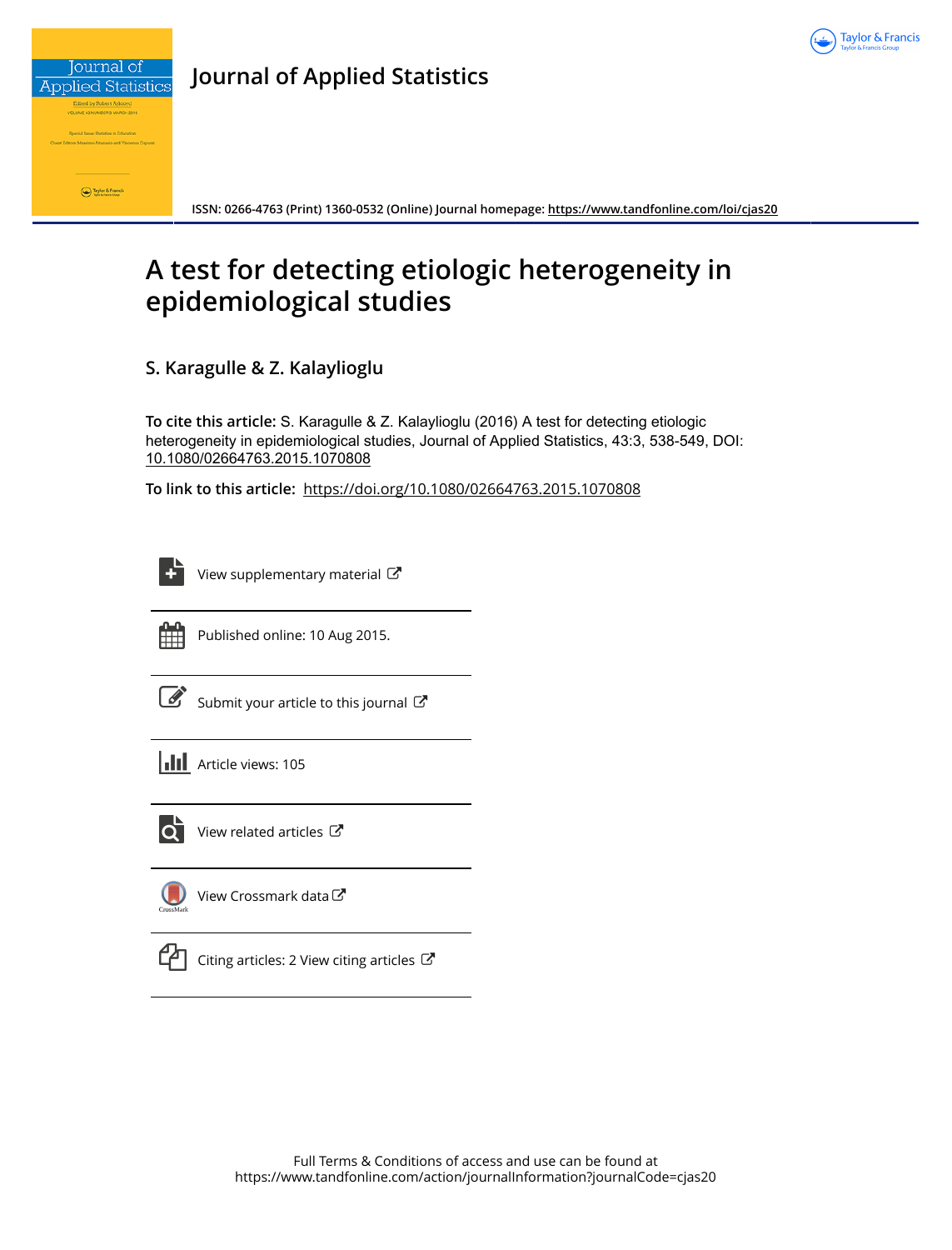

**Journal of Applied Statistics**

**ISSN: 0266-4763 (Print) 1360-0532 (Online) Journal homepage:<https://www.tandfonline.com/loi/cjas20>**

# **A test for detecting etiologic heterogeneity in epidemiological studies**

**S. Karagulle & Z. Kalaylioglu**

**To cite this article:** S. Karagulle & Z. Kalaylioglu (2016) A test for detecting etiologic heterogeneity in epidemiological studies, Journal of Applied Statistics, 43:3, 538-549, DOI: [10.1080/02664763.2015.1070808](https://www.tandfonline.com/action/showCitFormats?doi=10.1080/02664763.2015.1070808)

**To link to this article:** <https://doi.org/10.1080/02664763.2015.1070808>

[View supplementary material](https://www.tandfonline.com/doi/suppl/10.1080/02664763.2015.1070808)  $\mathbb{C}^{\bullet}$ 



Published online: 10 Aug 2015.

[Submit your article to this journal](https://www.tandfonline.com/action/authorSubmission?journalCode=cjas20&show=instructions)  $\mathbb{Z}$ 





 $\overrightarrow{Q}$  [View related articles](https://www.tandfonline.com/doi/mlt/10.1080/02664763.2015.1070808)  $\overrightarrow{C}$ 

 $\bigcup$ [View Crossmark data](http://crossmark.crossref.org/dialog/?doi=10.1080/02664763.2015.1070808&domain=pdf&date_stamp=2015-08-10)<sup>C</sup>



 $\mathbb{C}$  [Citing articles: 2 View citing articles](https://www.tandfonline.com/doi/citedby/10.1080/02664763.2015.1070808#tabModule)  $\mathbb{C}$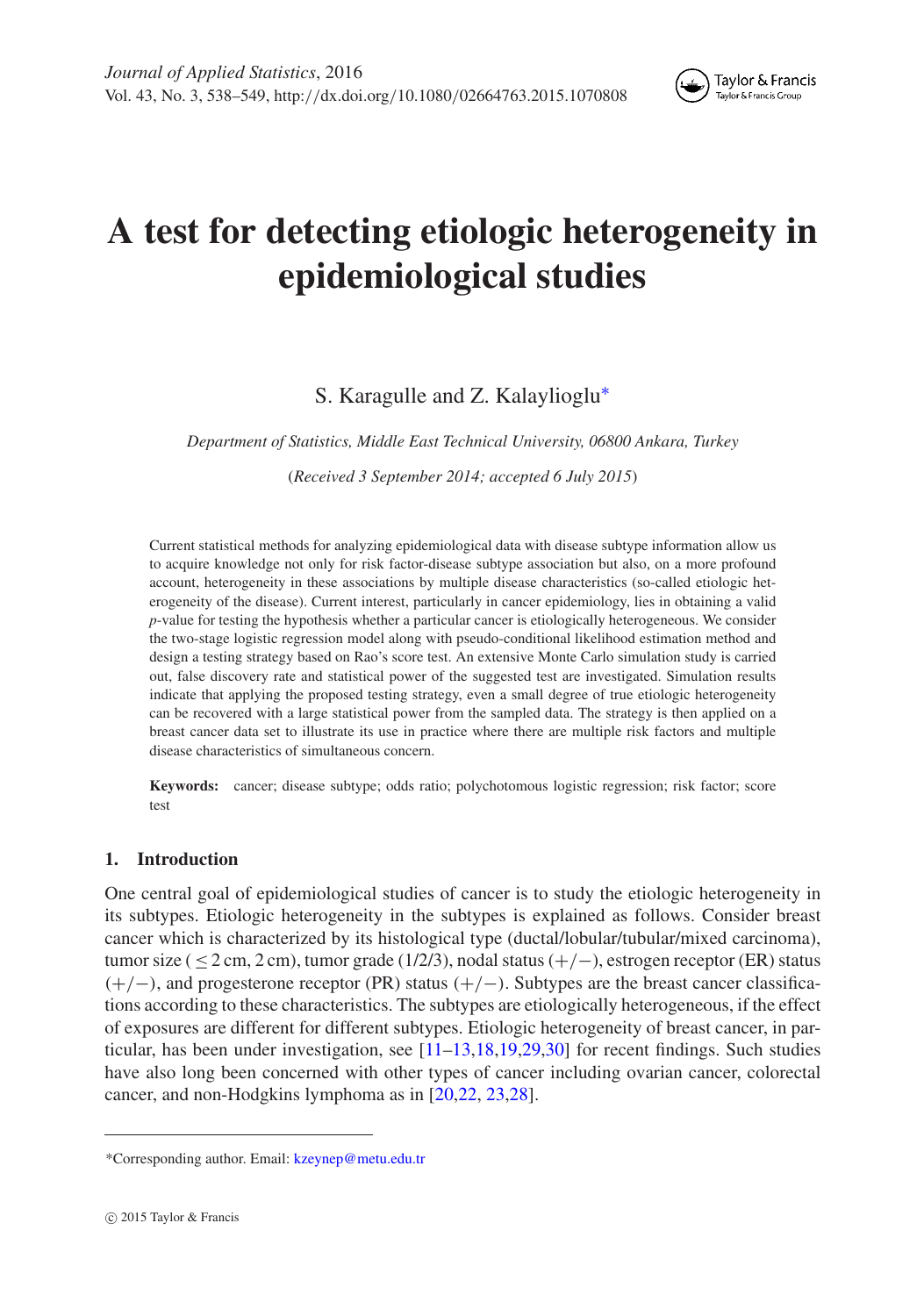

# **A test for detecting etiologic heterogeneity in epidemiological studies**

## S. Karagulle and Z. Kalaylioglu[∗](#page-1-0)

*Department of Statistics, Middle East Technical University, 06800 Ankara, Turkey*

(*Received 3 September 2014; accepted 6 July 2015*)

Current statistical methods for analyzing epidemiological data with disease subtype information allow us to acquire knowledge not only for risk factor-disease subtype association but also, on a more profound account, heterogeneity in these associations by multiple disease characteristics (so-called etiologic heterogeneity of the disease). Current interest, particularly in cancer epidemiology, lies in obtaining a valid *p*-value for testing the hypothesis whether a particular cancer is etiologically heterogeneous. We consider the two-stage logistic regression model along with pseudo-conditional likelihood estimation method and design a testing strategy based on Rao's score test. An extensive Monte Carlo simulation study is carried out, false discovery rate and statistical power of the suggested test are investigated. Simulation results indicate that applying the proposed testing strategy, even a small degree of true etiologic heterogeneity can be recovered with a large statistical power from the sampled data. The strategy is then applied on a breast cancer data set to illustrate its use in practice where there are multiple risk factors and multiple disease characteristics of simultaneous concern.

**Keywords:** cancer; disease subtype; odds ratio; polychotomous logistic regression; risk factor; score test

### **1. Introduction**

One central goal of epidemiological studies of cancer is to study the etiologic heterogeneity in its subtypes. Etiologic heterogeneity in the subtypes is explained as follows. Consider breast cancer which is characterized by its histological type (ductal/lobular/tubular/mixed carcinoma), tumor size (  $\leq$  2 cm, 2 cm), tumor grade (1/2/3), nodal status (+/-), estrogen receptor (ER) status (+/−), and progesterone receptor (PR) status (+/−). Subtypes are the breast cancer classifications according to these characteristics. The subtypes are etiologically heterogeneous, if the effect of exposures are different for different subtypes. Etiologic heterogeneity of breast cancer, in particular, has been under investigation, see [\[11](#page-11-0)[–13](#page-11-1)[,18](#page-11-2)[,19](#page-12-0)[,29](#page-12-1)[,30](#page-12-2)] for recent findings. Such studies have also long been concerned with other types of cancer including ovarian cancer, colorectal cancer, and non-Hodgkins lymphoma as in [\[20](#page-12-3)[,22,](#page-12-4) [23](#page-12-5)[,28](#page-12-6)].

<span id="page-1-0"></span><sup>\*</sup>Corresponding author. Email: [kzeynep@metu.edu.tr](mailto:kzeynep@metu.edu.tr)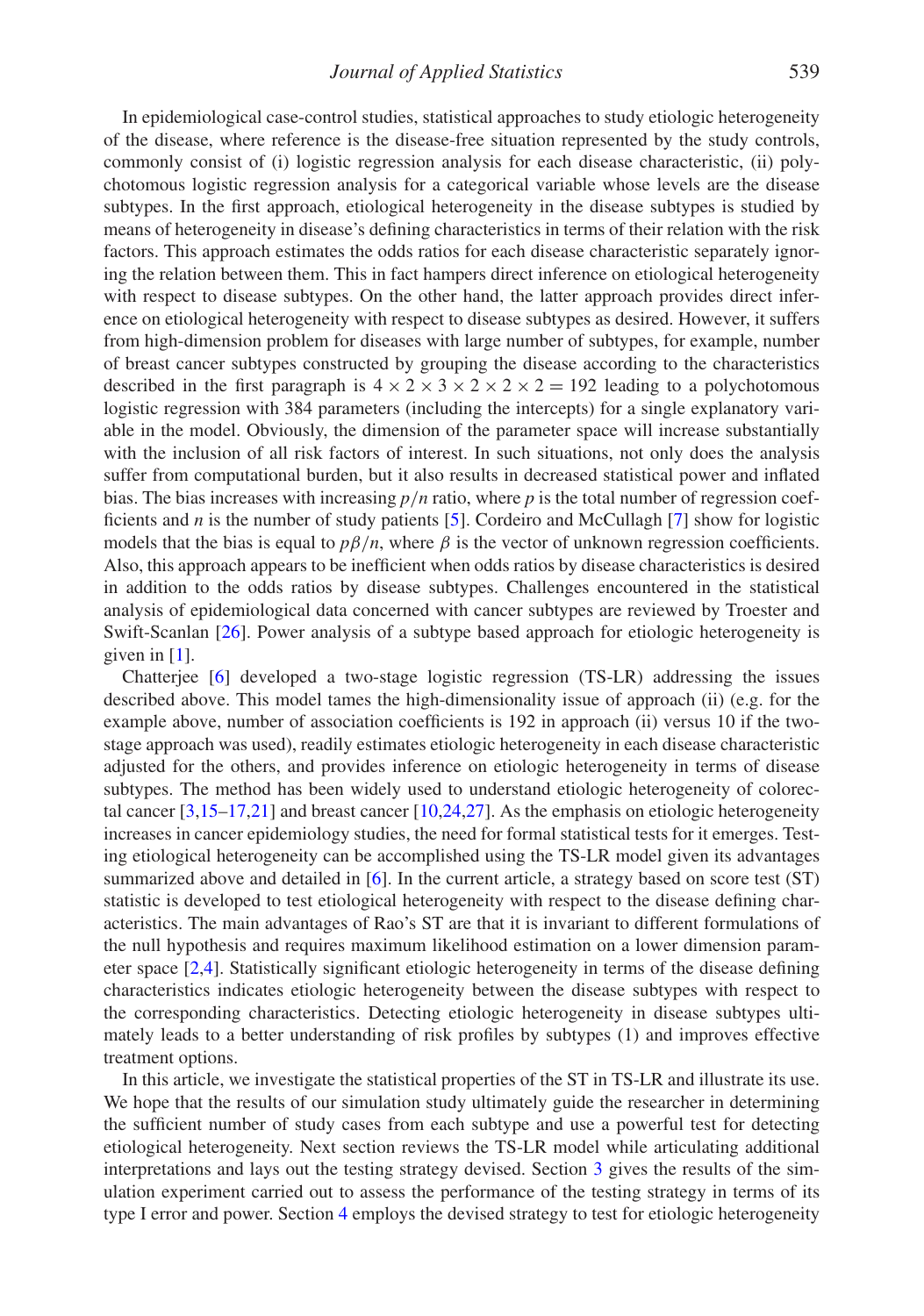In epidemiological case-control studies, statistical approaches to study etiologic heterogeneity of the disease, where reference is the disease-free situation represented by the study controls, commonly consist of (i) logistic regression analysis for each disease characteristic, (ii) polychotomous logistic regression analysis for a categorical variable whose levels are the disease subtypes. In the first approach, etiological heterogeneity in the disease subtypes is studied by means of heterogeneity in disease's defining characteristics in terms of their relation with the risk factors. This approach estimates the odds ratios for each disease characteristic separately ignoring the relation between them. This in fact hampers direct inference on etiological heterogeneity with respect to disease subtypes. On the other hand, the latter approach provides direct inference on etiological heterogeneity with respect to disease subtypes as desired. However, it suffers from high-dimension problem for diseases with large number of subtypes, for example, number of breast cancer subtypes constructed by grouping the disease according to the characteristics described in the first paragraph is  $4 \times 2 \times 3 \times 2 \times 2 \times 2 = 192$  leading to a polychotomous logistic regression with 384 parameters (including the intercepts) for a single explanatory variable in the model. Obviously, the dimension of the parameter space will increase substantially with the inclusion of all risk factors of interest. In such situations, not only does the analysis suffer from computational burden, but it also results in decreased statistical power and inflated bias. The bias increases with increasing *p*/*n* ratio, where *p* is the total number of regression coefficients and *n* is the number of study patients [\[5](#page-11-3)]. Cordeiro and McCullagh [\[7\]](#page-11-4) show for logistic models that the bias is equal to  $p\beta/n$ , where  $\beta$  is the vector of unknown regression coefficients. Also, this approach appears to be inefficient when odds ratios by disease characteristics is desired in addition to the odds ratios by disease subtypes. Challenges encountered in the statistical analysis of epidemiological data concerned with cancer subtypes are reviewed by Troester and Swift-Scanlan [\[26](#page-12-7)]. Power analysis of a subtype based approach for etiologic heterogeneity is given in  $[1]$  $[1]$ .

Chatterjee [\[6\]](#page-11-6) developed a two-stage logistic regression (TS-LR) addressing the issues described above. This model tames the high-dimensionality issue of approach (ii) (e.g. for the example above, number of association coefficients is 192 in approach (ii) versus 10 if the twostage approach was used), readily estimates etiologic heterogeneity in each disease characteristic adjusted for the others, and provides inference on etiologic heterogeneity in terms of disease subtypes. The method has been widely used to understand etiologic heterogeneity of colorectal cancer [\[3](#page-11-7)[,15](#page-11-8)[–17](#page-11-9)[,21](#page-12-8)] and breast cancer [\[10](#page-11-10)[,24](#page-12-9)[,27\]](#page-12-10). As the emphasis on etiologic heterogeneity increases in cancer epidemiology studies, the need for formal statistical tests for it emerges. Testing etiological heterogeneity can be accomplished using the TS-LR model given its advantages summarized above and detailed in [\[6\]](#page-11-6). In the current article, a strategy based on score test (ST) statistic is developed to test etiological heterogeneity with respect to the disease defining characteristics. The main advantages of Rao's ST are that it is invariant to different formulations of the null hypothesis and requires maximum likelihood estimation on a lower dimension parameter space [\[2](#page-11-11)[,4\]](#page-11-12). Statistically significant etiologic heterogeneity in terms of the disease defining characteristics indicates etiologic heterogeneity between the disease subtypes with respect to the corresponding characteristics. Detecting etiologic heterogeneity in disease subtypes ultimately leads to a better understanding of risk profiles by subtypes (1) and improves effective treatment options.

In this article, we investigate the statistical properties of the ST in TS-LR and illustrate its use. We hope that the results of our simulation study ultimately guide the researcher in determining the sufficient number of study cases from each subtype and use a powerful test for detecting etiological heterogeneity. Next section reviews the TS-LR model while articulating additional interpretations and lays out the testing strategy devised. Section [3](#page-5-0) gives the results of the simulation experiment carried out to assess the performance of the testing strategy in terms of its type I error and power. Section [4](#page-8-0) employs the devised strategy to test for etiologic heterogeneity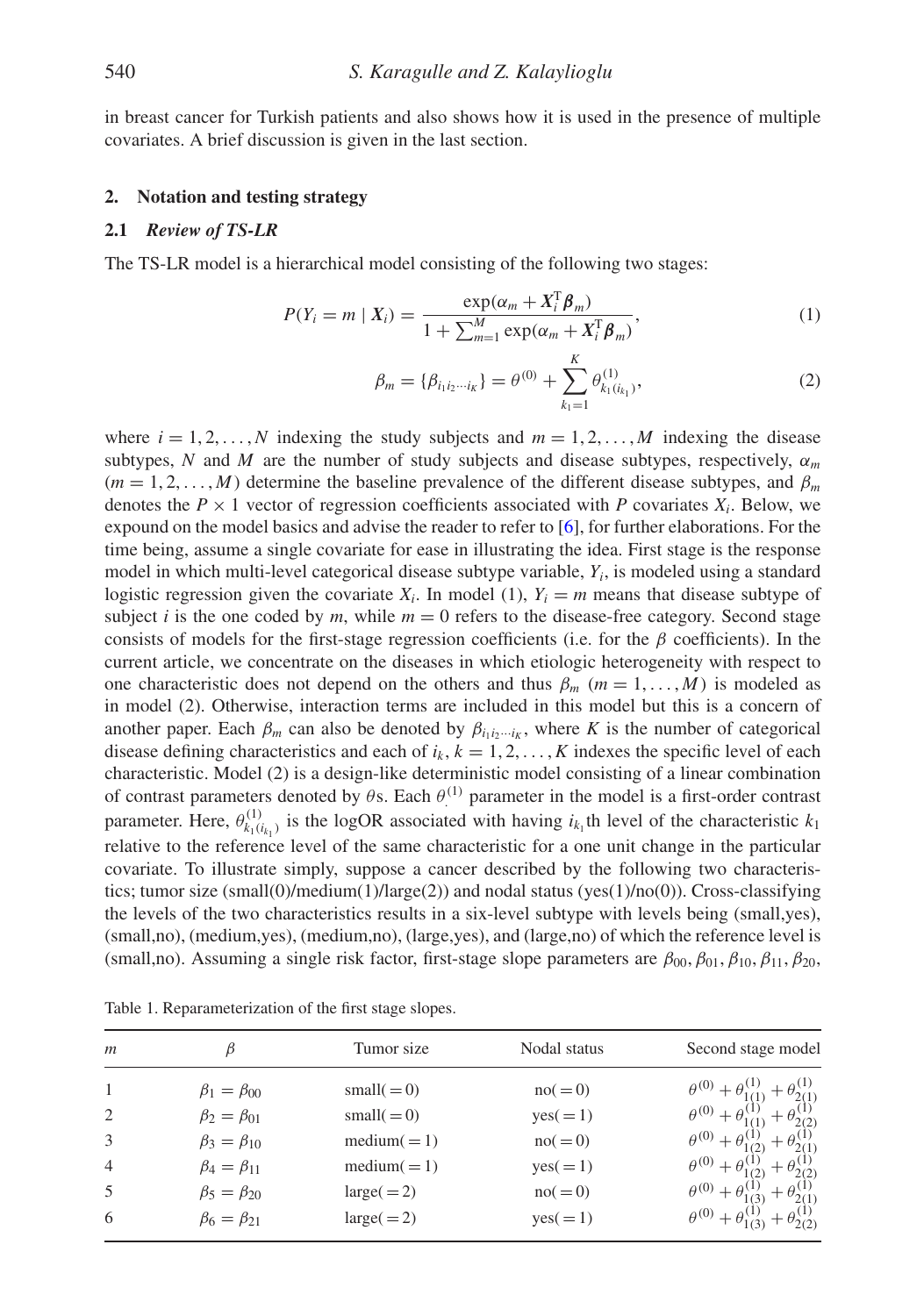in breast cancer for Turkish patients and also shows how it is used in the presence of multiple covariates. A brief discussion is given in the last section.

#### **2. Notation and testing strategy**

#### **2.1** *Review of TS-LR*

The TS-LR model is a hierarchical model consisting of the following two stages:

$$
P(Y_i = m \mid X_i) = \frac{\exp(\alpha_m + X_i^{\mathrm{T}} \boldsymbol{\beta}_m)}{1 + \sum_{m=1}^{M} \exp(\alpha_m + X_i^{\mathrm{T}} \boldsymbol{\beta}_m)},
$$
\n(1)

$$
\beta_m = {\beta_{i_1 i_2 \cdots i_K}} = \theta^{(0)} + \sum_{k_1=1}^K \theta_{k_1(i_{k_1})}^{(1)},
$$
\n(2)

where  $i = 1, 2, \ldots, N$  indexing the study subjects and  $m = 1, 2, \ldots, M$  indexing the disease subtypes, *N* and *M* are the number of study subjects and disease subtypes, respectively,  $\alpha_m$  $(m = 1, 2, \dots, M)$  determine the baseline prevalence of the different disease subtypes, and  $\beta_m$ denotes the  $P \times 1$  vector of regression coefficients associated with P covariates  $X_i$ . Below, we expound on the model basics and advise the reader to refer to  $[6]$  $[6]$ , for further elaborations. For the time being, assume a single covariate for ease in illustrating the idea. First stage is the response model in which multi-level categorical disease subtype variable, *Yi*, is modeled using a standard logistic regression given the covariate  $X_i$ . In model (1),  $Y_i = m$  means that disease subtype of subject *i* is the one coded by *m*, while  $m = 0$  refers to the disease-free category. Second stage consists of models for the first-stage regression coefficients (i.e. for the  $\beta$  coefficients). In the current article, we concentrate on the diseases in which etiologic heterogeneity with respect to one characteristic does not depend on the others and thus  $\beta_m$  ( $m = 1, \ldots, M$ ) is modeled as in model (2). Otherwise, interaction terms are included in this model but this is a concern of another paper. Each  $\beta_m$  can also be denoted by  $\beta_{i_1i_2\cdots i_k}$ , where *K* is the number of categorical disease defining characteristics and each of  $i_k$ ,  $k = 1, 2, ..., K$  indexes the specific level of each characteristic. Model (2) is a design-like deterministic model consisting of a linear combination of contrast parameters denoted by  $\theta$ s. Each  $\theta^{(1)}$  parameter in the model is a first-order contrast parameter. Here,  $\theta_{k_1(i_{k_1})}^{(1)}$  is the logOR associated with having  $i_{k_1}$ th level of the characteristic  $k_1$ relative to the reference level of the same characteristic for a one unit change in the particular covariate. To illustrate simply, suppose a cancer described by the following two characteristics; tumor size (small(0)/medium(1)/large(2)) and nodal status (yes(1)/no(0)). Cross-classifying the levels of the two characteristics results in a six-level subtype with levels being (small,yes), (small,no), (medium,yes), (medium,no), (large,yes), and (large,no) of which the reference level is (small,no). Assuming a single risk factor, first-stage slope parameters are  $\beta_{00}, \beta_{01}, \beta_{10}, \beta_{11}, \beta_{20}$ ,

| $\boldsymbol{m}$ |                        | Tumor size    | Nodal status | Second stage model                 |
|------------------|------------------------|---------------|--------------|------------------------------------|
| -1               | $\beta_1 = \beta_{00}$ | small $(=0)$  | $no( = 0)$   | $\theta^{(0)} + \theta_{10}^{(1)}$ |
| 2                | $\beta_2 = \beta_{01}$ | small $(=0)$  | $yes( = 1)$  | $\theta^{(0)} + \theta'$           |
| 3                | $\beta_3 = \beta_{10}$ | $median(=1)$  | $no( = 0)$   | $heta^{(0)} + h$                   |
| $\overline{4}$   | $\beta_4 = \beta_{11}$ | $median(=1)$  | $yes( = 1)$  | $\theta^{(0)}$ .                   |
| .5               | $\beta_5 = \beta_{20}$ | $large( = 2)$ | $no( = 0)$   | $\theta^{(0)} + \theta'$           |
| 6                | $\beta_6 = \beta_{21}$ | $large (= 2)$ | $yes( = 1)$  | $\theta^{(0)} + \theta^{(0)}$      |

<span id="page-3-0"></span>Table 1. Reparameterization of the first stage slopes.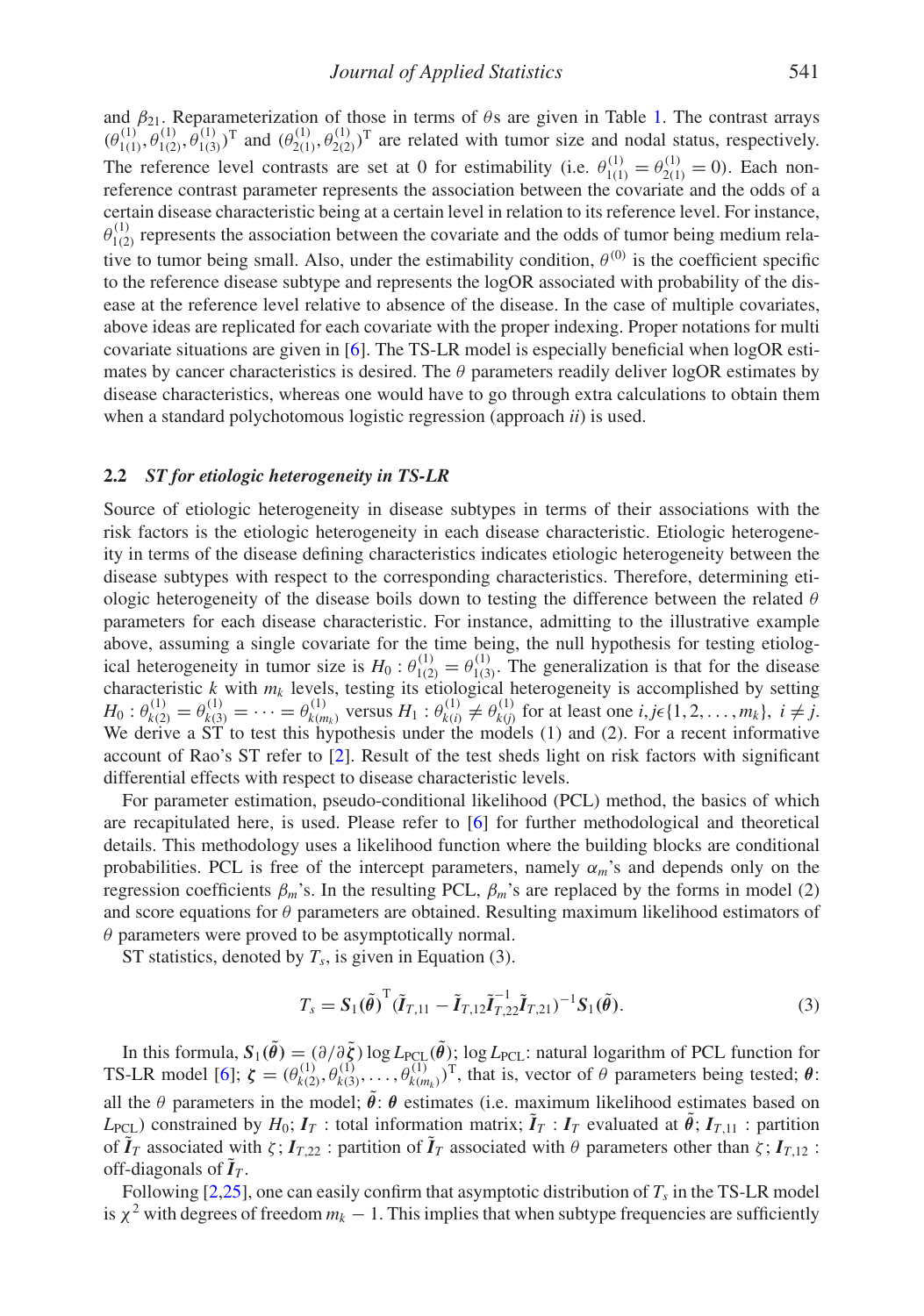and  $\beta_{21}$ . Reparameterization of those in terms of  $\theta$ s are given in Table [1.](#page-3-0) The contrast arrays  $(\theta_{1(1)}^{(1)}, \theta_{1(2)}^{(1)}, \hat{\theta}_{1(3)}^{(1)})^T$  and  $(\theta_{2(1)}^{(1)}, \theta_{2(2)}^{(1)})^T$  are related with tumor size and nodal status, respectively. The reference level contrasts are set at 0 for estimability (i.e.  $\theta_{1(1)}^{(1)} = \theta_{2(1)}^{(1)} = 0$ ). Each nonreference contrast parameter represents the association between the covariate and the odds of a certain disease characteristic being at a certain level in relation to its reference level. For instance,  $\theta_{1(2)}^{(1)}$  represents the association between the covariate and the odds of tumor being medium relative to tumor being small. Also, under the estimability condition,  $\theta^{(0)}$  is the coefficient specific to the reference disease subtype and represents the logOR associated with probability of the disease at the reference level relative to absence of the disease. In the case of multiple covariates, above ideas are replicated for each covariate with the proper indexing. Proper notations for multi covariate situations are given in [\[6](#page-11-6)]. The TS-LR model is especially beneficial when logOR estimates by cancer characteristics is desired. The  $\theta$  parameters readily deliver logOR estimates by disease characteristics, whereas one would have to go through extra calculations to obtain them when a standard polychotomous logistic regression (approach *ii*) is used.

### **2.2** *ST for etiologic heterogeneity in TS-LR*

Source of etiologic heterogeneity in disease subtypes in terms of their associations with the risk factors is the etiologic heterogeneity in each disease characteristic. Etiologic heterogeneity in terms of the disease defining characteristics indicates etiologic heterogeneity between the disease subtypes with respect to the corresponding characteristics. Therefore, determining etiologic heterogeneity of the disease boils down to testing the difference between the related  $\theta$ parameters for each disease characteristic. For instance, admitting to the illustrative example above, assuming a single covariate for the time being, the null hypothesis for testing etiological heterogeneity in tumor size is  $H_0: \theta_{1(2)}^{(1)} = \theta_{1(3)}^{(1)}$ . The generalization is that for the disease characteristic  $k$  with  $m_k$  levels, testing its etiological heterogeneity is accomplished by setting  $H_0: \theta_{k(2)}^{(1)} = \theta_{k(3)}^{(1)} = \cdots = \theta_{k(m_k)}^{(1)}$  versus  $H_1: \theta_{k(i)}^{(1)} \neq \theta_{k(j)}^{(1)}$  for at least one  $i, j \in \{1, 2, ..., m_k\}, i \neq j$ . We derive a ST to test this hypothesis under the models (1) and (2). For a recent informative account of Rao's ST refer to [\[2\]](#page-11-11). Result of the test sheds light on risk factors with significant differential effects with respect to disease characteristic levels.

For parameter estimation, pseudo-conditional likelihood (PCL) method, the basics of which are recapitulated here, is used. Please refer to [\[6\]](#page-11-6) for further methodological and theoretical details. This methodology uses a likelihood function where the building blocks are conditional probabilities. PCL is free of the intercept parameters, namely α*m*'s and depends only on the regression coefficients  $β<sub>m</sub>$ 's. In the resulting PCL,  $β<sub>m</sub>$ 's are replaced by the forms in model (2) and score equations for  $\theta$  parameters are obtained. Resulting maximum likelihood estimators of  $\theta$  parameters were proved to be asymptotically normal.

ST statistics, denoted by  $T_s$ , is given in Equation (3).

$$
T_s = S_1(\tilde{\theta})^{\mathrm{T}} (\tilde{I}_{T,11} - \tilde{I}_{T,12} \tilde{I}_{T,22}^{-1} \tilde{I}_{T,21})^{-1} S_1(\tilde{\theta}). \tag{3}
$$

In this formula,  $S_1(\tilde{\theta}) = (\partial/\partial \tilde{\zeta}) \log L_{\text{PCL}}(\tilde{\theta})$ ; log  $L_{\text{PCL}}$ : natural logarithm of PCL function for TS-LR model [\[6\]](#page-11-6);  $\zeta = (\theta_{k(2)}^{(1)}, \theta_{k(3)}^{(1)}, \dots, \theta_{k(m_k)}^{(1)})^{\text{T}}$ , that is, vector of  $\theta$  parameters being tested;  $\theta$ : all the  $\theta$  parameters in the model;  $\tilde{\theta}$ :  $\theta$  estimates (i.e. maximum likelihood estimates based on *L*<sub>PCL</sub>) constrained by  $H_0$ ;  $I_T$ : total information matrix;  $\tilde{I}_T$ :  $I_T$  evaluated at  $\tilde{\theta}$ ;  $I_{T,11}$ : partition of  $I_T$  associated with  $\zeta$ ;  $I_{T,22}$ : partition of  $I_T$  associated with  $\theta$  parameters other than  $\zeta$ ;  $I_{T,12}$ : off-diagonals of  $I_T$ .

Following  $[2,25]$  $[2,25]$  $[2,25]$ , one can easily confirm that asymptotic distribution of  $T_s$  in the TS-LR model is  $\chi^2$  with degrees of freedom  $m_k - 1$ . This implies that when subtype frequencies are sufficiently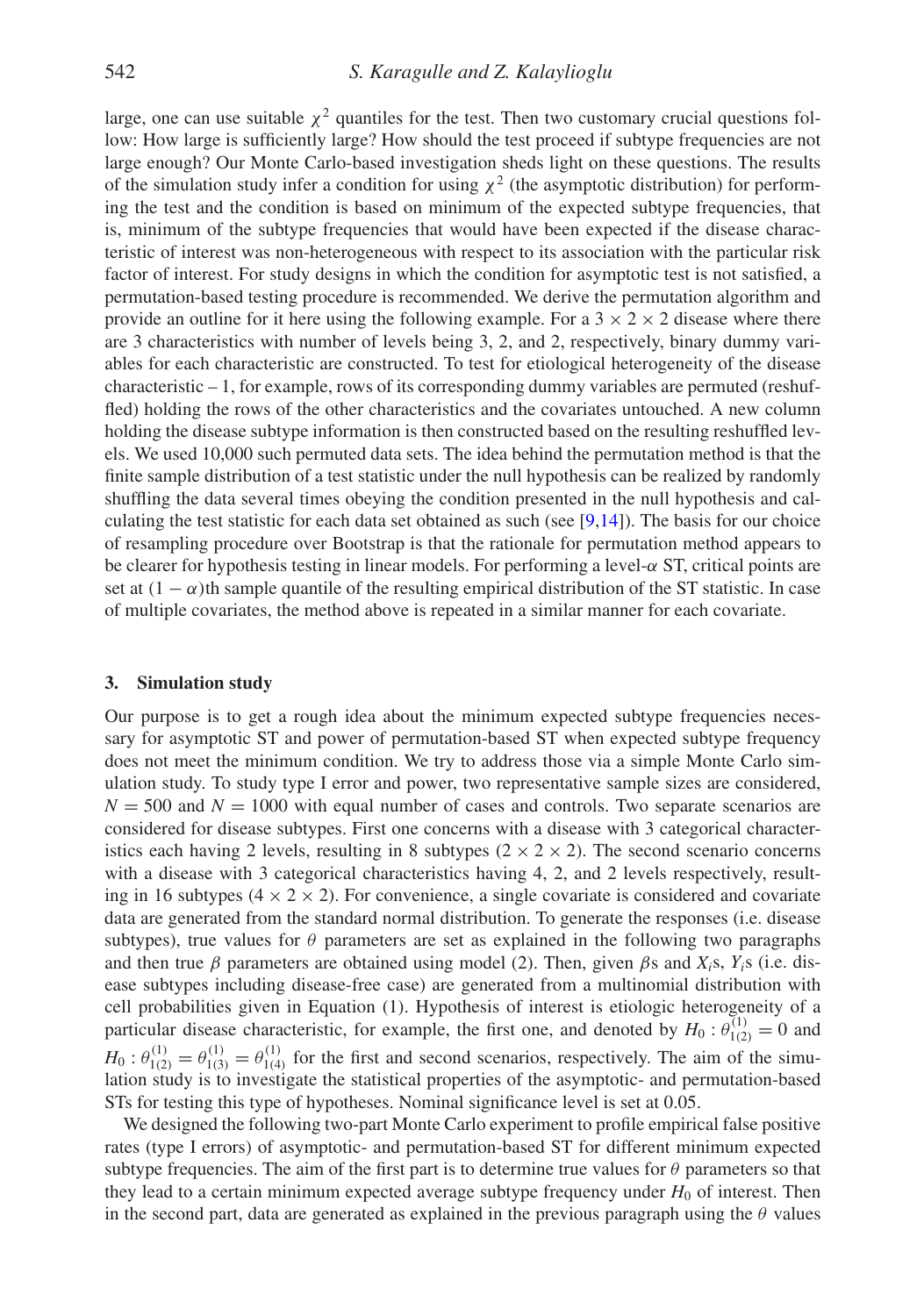large, one can use suitable  $\chi^2$  quantiles for the test. Then two customary crucial questions follow: How large is sufficiently large? How should the test proceed if subtype frequencies are not large enough? Our Monte Carlo-based investigation sheds light on these questions. The results of the simulation study infer a condition for using  $\chi^2$  (the asymptotic distribution) for performing the test and the condition is based on minimum of the expected subtype frequencies, that is, minimum of the subtype frequencies that would have been expected if the disease characteristic of interest was non-heterogeneous with respect to its association with the particular risk factor of interest. For study designs in which the condition for asymptotic test is not satisfied, a permutation-based testing procedure is recommended. We derive the permutation algorithm and provide an outline for it here using the following example. For a  $3 \times 2 \times 2$  disease where there are 3 characteristics with number of levels being 3, 2, and 2, respectively, binary dummy variables for each characteristic are constructed. To test for etiological heterogeneity of the disease characteristic – 1, for example, rows of its corresponding dummy variables are permuted (reshuffled) holding the rows of the other characteristics and the covariates untouched. A new column holding the disease subtype information is then constructed based on the resulting reshuffled levels. We used 10,000 such permuted data sets. The idea behind the permutation method is that the finite sample distribution of a test statistic under the null hypothesis can be realized by randomly shuffling the data several times obeying the condition presented in the null hypothesis and calculating the test statistic for each data set obtained as such (see  $[9,14]$  $[9,14]$  $[9,14]$ ). The basis for our choice of resampling procedure over Bootstrap is that the rationale for permutation method appears to be clearer for hypothesis testing in linear models. For performing a level-α ST, critical points are set at  $(1 - \alpha)$ th sample quantile of the resulting empirical distribution of the ST statistic. In case of multiple covariates, the method above is repeated in a similar manner for each covariate.

#### <span id="page-5-0"></span>**3. Simulation study**

Our purpose is to get a rough idea about the minimum expected subtype frequencies necessary for asymptotic ST and power of permutation-based ST when expected subtype frequency does not meet the minimum condition. We try to address those via a simple Monte Carlo simulation study. To study type I error and power, two representative sample sizes are considered,  $N = 500$  and  $N = 1000$  with equal number of cases and controls. Two separate scenarios are considered for disease subtypes. First one concerns with a disease with 3 categorical characteristics each having 2 levels, resulting in 8 subtypes  $(2 \times 2 \times 2)$ . The second scenario concerns with a disease with 3 categorical characteristics having 4, 2, and 2 levels respectively, resulting in 16 subtypes ( $4 \times 2 \times 2$ ). For convenience, a single covariate is considered and covariate data are generated from the standard normal distribution. To generate the responses (i.e. disease subtypes), true values for  $\theta$  parameters are set as explained in the following two paragraphs and then true  $\beta$  parameters are obtained using model (2). Then, given  $\beta$ s and  $X_i$ s,  $Y_i$ s (i.e. disease subtypes including disease-free case) are generated from a multinomial distribution with cell probabilities given in Equation (1). Hypothesis of interest is etiologic heterogeneity of a particular disease characteristic, for example, the first one, and denoted by  $H_0: \theta_{1(2)}^{(1)} = 0$  and  $H_0: \theta_{1(2)}^{(1)} = \theta_{1(3)}^{(1)} = \theta_{1(4)}^{(1)}$  for the first and second scenarios, respectively. The aim of the simulation study is to investigate the statistical properties of the asymptotic- and permutation-based STs for testing this type of hypotheses. Nominal significance level is set at 0.05.

We designed the following two-part Monte Carlo experiment to profile empirical false positive rates (type I errors) of asymptotic- and permutation-based ST for different minimum expected subtype frequencies. The aim of the first part is to determine true values for  $\theta$  parameters so that they lead to a certain minimum expected average subtype frequency under  $H_0$  of interest. Then in the second part, data are generated as explained in the previous paragraph using the  $\theta$  values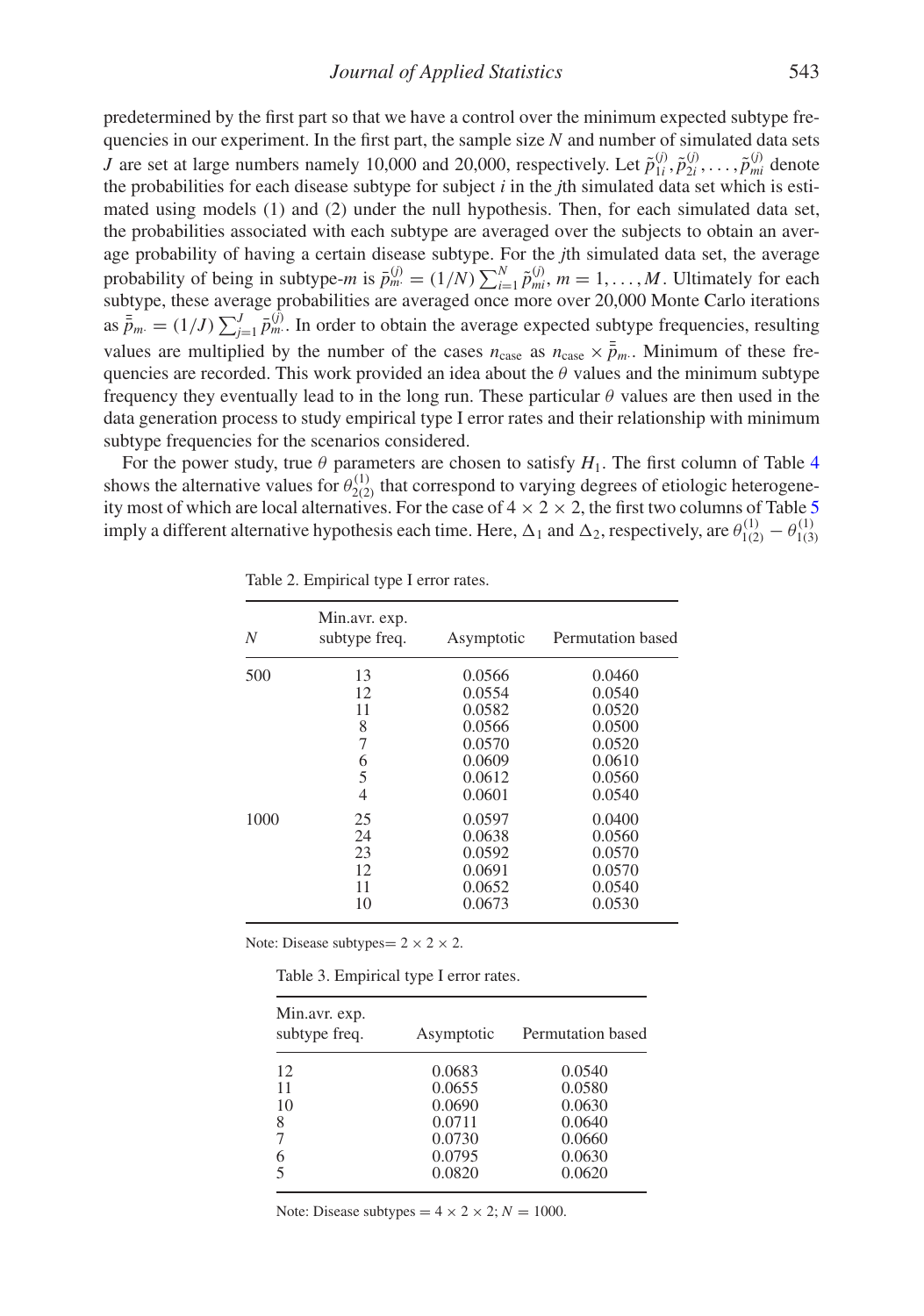predetermined by the first part so that we have a control over the minimum expected subtype frequencies in our experiment. In the first part, the sample size *N* and number of simulated data sets *J* are set at large numbers namely 10,000 and 20,000, respectively. Let  $\tilde{p}_{1i}^{(j)}, \tilde{p}_{2i}^{(j)}, \ldots, \tilde{p}_{mi}^{(j)}$  denote the probabilities for each disease subtype for subject *i* in the *j*th simulated data set which is estimated using models (1) and (2) under the null hypothesis. Then, for each simulated data set, the probabilities associated with each subtype are averaged over the subjects to obtain an average probability of having a certain disease subtype. For the *j*th simulated data set, the average probability of being in subtype-*m* is  $\bar{p}_m^{(j)} = (1/N) \sum_{i=1}^N \tilde{p}_{mi}^{(j)}$ ,  $m = 1, ..., M$ . Ultimately for each subtype, these average probabilities are averaged once more over 20,000 Monte Carlo iterations as  $\bar{\bar{p}}_m = (1/J) \sum_{j=1}^J \bar{p}_m^{(j)}$ . In order to obtain the average expected subtype frequencies, resulting values are multiplied by the number of the cases  $n_{\text{case}}$  as  $n_{\text{case}} \times \bar{\bar{p}}_m$ . Minimum of these frequencies are recorded. This work provided an idea about the  $\theta$  values and the minimum subtype frequency they eventually lead to in the long run. These particular  $\theta$  values are then used in the data generation process to study empirical type I error rates and their relationship with minimum subtype frequencies for the scenarios considered.

For the power study, true  $\theta$  parameters are chosen to satisfy  $H_1$ . The first column of Table [4](#page-7-0) shows the alternative values for  $\theta_{2(2)}^{(1)}$  that correspond to varying degrees of etiologic heterogeneity most of which are local alternatives. For the case of  $4 \times 2 \times 2$ , the first two columns of Table [5](#page-7-1) imply a different alternative hypothesis each time. Here,  $\Delta_1$  and  $\Delta_2$ , respectively, are  $\theta_{1(2)}^{(1)} - \theta_{1(3)}^{(1)}$ 

| N    | Min.avr. exp.<br>subtype freq. | Asymptotic | Permutation based |
|------|--------------------------------|------------|-------------------|
| 500  | 13                             | 0.0566     | 0.0460            |
|      | 12                             | 0.0554     | 0.0540            |
|      | 11                             | 0.0582     | 0.0520            |
|      | 8                              | 0.0566     | 0.0500            |
|      | 7                              | 0.0570     | 0.0520            |
|      | 6                              | 0.0609     | 0.0610            |
|      | 5                              | 0.0612     | 0.0560            |
|      | 4                              | 0.0601     | 0.0540            |
| 1000 | 25                             | 0.0597     | 0.0400            |
|      | 24                             | 0.0638     | 0.0560            |
|      | 23                             | 0.0592     | 0.0570            |
|      | 12                             | 0.0691     | 0.0570            |
|      | 11                             | 0.0652     | 0.0540            |
|      | 10                             | 0.0673     | 0.0530            |

<span id="page-6-0"></span>Table 2. Empirical type I error rates.

Note: Disease subtypes =  $2 \times 2 \times 2$ .

<span id="page-6-1"></span>

| Min.avr. exp.<br>subtype freq. | Asymptotic | Permutation based |
|--------------------------------|------------|-------------------|
| 12                             | 0.0683     | 0.0540            |
| 11                             | 0.0655     | 0.0580            |
| 10                             | 0.0690     | 0.0630            |
| 8                              | 0.0711     | 0.0640            |
|                                | 0.0730     | 0.0660            |
| 6                              | 0.0795     | 0.0630            |
|                                | 0.0820     | 0.0620            |

Note: Disease subtypes  $= 4 \times 2 \times 2$ ;  $N = 1000$ .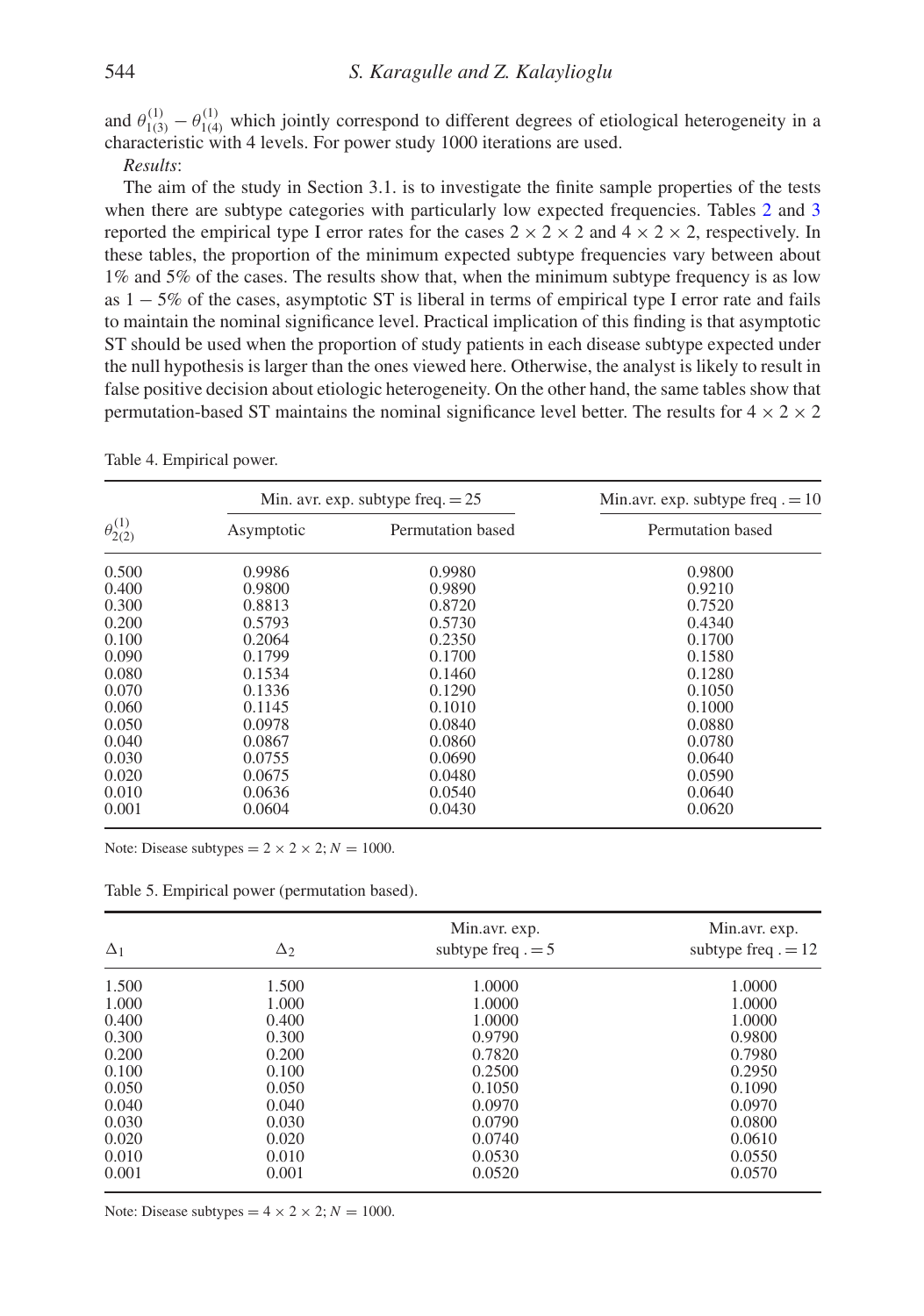and  $\theta_{1(3)}^{(1)} - \theta_{1(4)}^{(1)}$  which jointly correspond to different degrees of etiological heterogeneity in a characteristic with 4 levels. For power study 1000 iterations are used.

*Results*:

The aim of the study in Section 3.1. is to investigate the finite sample properties of the tests when there are subtype categories with particularly low expected frequencies. Tables [2](#page-6-0) and [3](#page-6-1) reported the empirical type I error rates for the cases  $2 \times 2 \times 2$  and  $4 \times 2 \times 2$ , respectively. In these tables, the proportion of the minimum expected subtype frequencies vary between about 1% and 5% of the cases. The results show that, when the minimum subtype frequency is as low as  $1 - 5\%$  of the cases, asymptotic ST is liberal in terms of empirical type I error rate and fails to maintain the nominal significance level. Practical implication of this finding is that asymptotic ST should be used when the proportion of study patients in each disease subtype expected under the null hypothesis is larger than the ones viewed here. Otherwise, the analyst is likely to result in false positive decision about etiologic heterogeneity. On the other hand, the same tables show that permutation-based ST maintains the nominal significance level better. The results for  $4 \times 2 \times 2$ 

|                       |            | Min. avr. exp. subtype freq. $= 25$ | Min.avr. exp. subtype freq. $= 10$ |  |
|-----------------------|------------|-------------------------------------|------------------------------------|--|
| $\theta_{2(2)}^{(1)}$ | Asymptotic | Permutation based                   | Permutation based                  |  |
| 0.500                 | 0.9986     | 0.9980                              | 0.9800                             |  |
| 0.400                 | 0.9800     | 0.9890                              | 0.9210                             |  |
| 0.300                 | 0.8813     | 0.8720                              | 0.7520                             |  |
| 0.200                 | 0.5793     | 0.5730                              | 0.4340                             |  |
| 0.100                 | 0.2064     | 0.2350                              | 0.1700                             |  |
| 0.090                 | 0.1799     | 0.1700                              | 0.1580                             |  |
| 0.080                 | 0.1534     | 0.1460                              | 0.1280                             |  |
| 0.070                 | 0.1336     | 0.1290                              | 0.1050                             |  |
| 0.060                 | 0.1145     | 0.1010                              | 0.1000                             |  |
| 0.050                 | 0.0978     | 0.0840                              | 0.0880                             |  |
| 0.040                 | 0.0867     | 0.0860                              | 0.0780                             |  |
| 0.030                 | 0.0755     | 0.0690                              | 0.0640                             |  |
| 0.020                 | 0.0675     | 0.0480                              | 0.0590                             |  |
| 0.010                 | 0.0636     | 0.0540                              | 0.0640                             |  |
| 0.001                 | 0.0604     | 0.0430                              | 0.0620                             |  |

<span id="page-7-0"></span>Table 4. Empirical power.

Note: Disease subtypes =  $2 \times 2 \times 2$ ;  $N = 1000$ .

<span id="page-7-1"></span>

|  |  |  | Table 5. Empirical power (permutation based). |  |
|--|--|--|-----------------------------------------------|--|
|--|--|--|-----------------------------------------------|--|

| $\Delta_1$ | $\Delta_2$ | Min.avr. exp.<br>subtype freq. $= 5$ | Min.avr. exp.<br>subtype freq. $= 12$ |
|------------|------------|--------------------------------------|---------------------------------------|
| 1.500      | 1.500      | 1.0000                               | 1.0000                                |
| 1.000      | 1.000      | 1.0000                               | 1.0000                                |
| 0.400      | 0.400      | 1.0000                               | 1.0000                                |
| 0.300      | 0.300      | 0.9790                               | 0.9800                                |
| 0.200      | 0.200      | 0.7820                               | 0.7980                                |
| 0.100      | 0.100      | 0.2500                               | 0.2950                                |
| 0.050      | 0.050      | 0.1050                               | 0.1090                                |
| 0.040      | 0.040      | 0.0970                               | 0.0970                                |
| 0.030      | 0.030      | 0.0790                               | 0.0800                                |
| 0.020      | 0.020      | 0.0740                               | 0.0610                                |
| 0.010      | 0.010      | 0.0530                               | 0.0550                                |
| 0.001      | 0.001      | 0.0520                               | 0.0570                                |

Note: Disease subtypes =  $4 \times 2 \times 2$ ;  $N = 1000$ .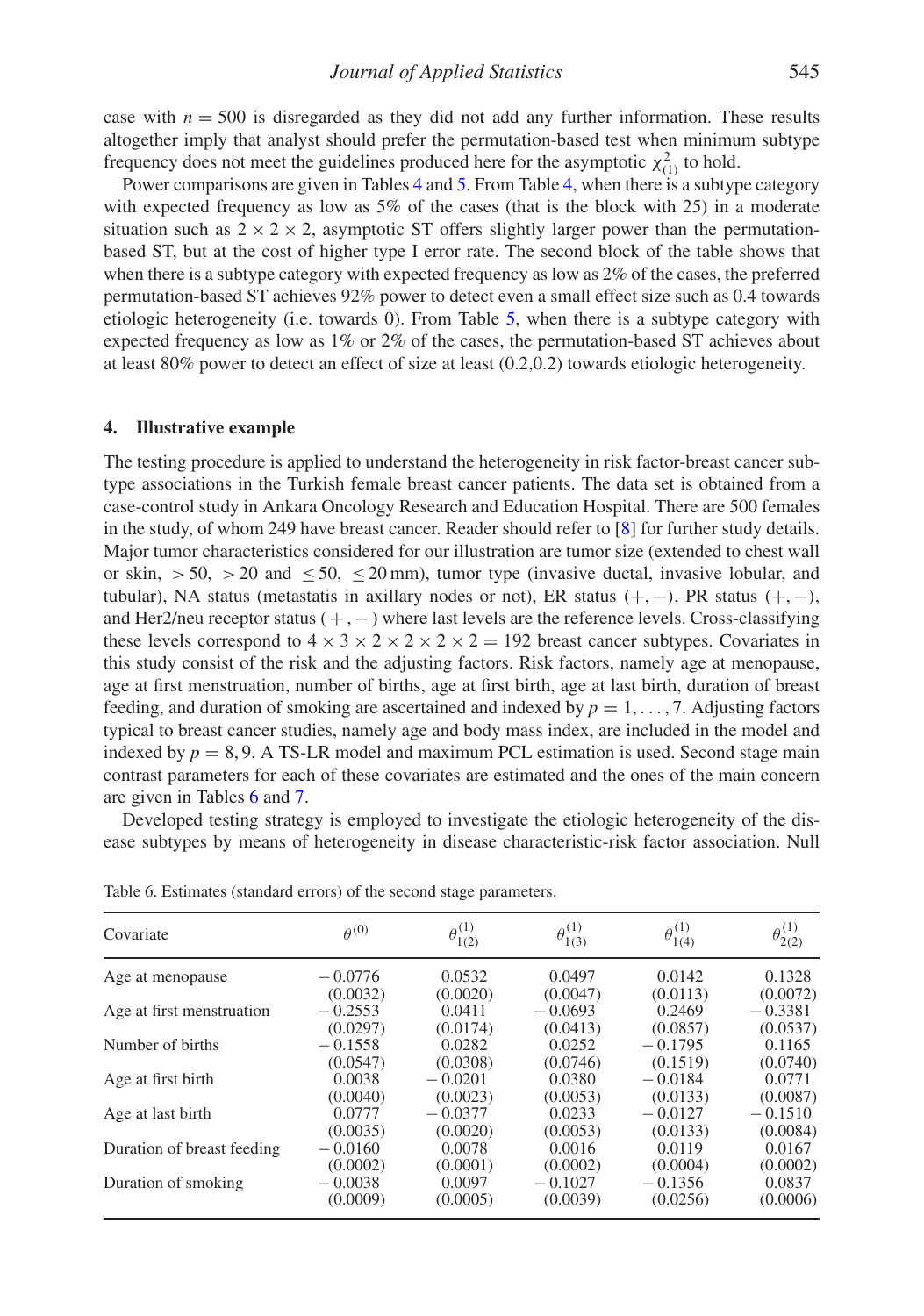case with  $n = 500$  is disregarded as they did not add any further information. These results altogether imply that analyst should prefer the permutation-based test when minimum subtype frequency does not meet the guidelines produced here for the asymptotic  $\chi^2_{(1)}$  to hold.

Power comparisons are given in Tables [4](#page-7-0) and [5.](#page-7-1) From Table [4,](#page-7-0) when there is a subtype category with expected frequency as low as 5% of the cases (that is the block with 25) in a moderate situation such as  $2 \times 2 \times 2$ , asymptotic ST offers slightly larger power than the permutationbased ST, but at the cost of higher type I error rate. The second block of the table shows that when there is a subtype category with expected frequency as low as 2% of the cases, the preferred permutation-based ST achieves 92% power to detect even a small effect size such as 0.4 towards etiologic heterogeneity (i.e. towards 0). From Table [5,](#page-7-1) when there is a subtype category with expected frequency as low as 1% or 2% of the cases, the permutation-based ST achieves about at least 80% power to detect an effect of size at least (0.2,0.2) towards etiologic heterogeneity.

#### <span id="page-8-0"></span>**4. Illustrative example**

The testing procedure is applied to understand the heterogeneity in risk factor-breast cancer subtype associations in the Turkish female breast cancer patients. The data set is obtained from a case-control study in Ankara Oncology Research and Education Hospital. There are 500 females in the study, of whom 249 have breast cancer. Reader should refer to [\[8\]](#page-11-15) for further study details. Major tumor characteristics considered for our illustration are tumor size (extended to chest wall or skin,  $>50$ ,  $>20$  and  $\leq 50$ ,  $\leq 20$  mm), tumor type (invasive ductal, invasive lobular, and tubular), NA status (metastatis in axillary nodes or not), ER status  $(+, -)$ , PR status  $(+, -)$ , and Her2/neu receptor status (+,−) where last levels are the reference levels. Cross-classifying these levels correspond to  $4 \times 3 \times 2 \times 2 \times 2 \times 2 = 192$  breast cancer subtypes. Covariates in this study consist of the risk and the adjusting factors. Risk factors, namely age at menopause, age at first menstruation, number of births, age at first birth, age at last birth, duration of breast feeding, and duration of smoking are ascertained and indexed by  $p = 1, \ldots, 7$ . Adjusting factors typical to breast cancer studies, namely age and body mass index, are included in the model and indexed by  $p = 8, 9$ . A TS-LR model and maximum PCL estimation is used. Second stage main contrast parameters for each of these covariates are estimated and the ones of the main concern are given in Tables [6](#page-8-1) and [7.](#page-9-0)

Developed testing strategy is employed to investigate the etiologic heterogeneity of the disease subtypes by means of heterogeneity in disease characteristic-risk factor association. Null

<span id="page-8-1"></span>

| Covariate                  | $\theta^{(0)}$ | $\theta_{1(2)}^{(1)}$ | $\theta_{1(3)}^{(1)}$ | $\theta_{1(4)}^{(1)}$ | $\theta_{2(2)}^{(1)}$ |
|----------------------------|----------------|-----------------------|-----------------------|-----------------------|-----------------------|
| Age at menopause           | $-0.0776$      | 0.0532                | 0.0497                | 0.0142                | 0.1328                |
|                            | (0.0032)       | (0.0020)              | (0.0047)              | (0.0113)              | (0.0072)              |
| Age at first menstruation  | $-0.2553$      | 0.0411                | $-0.0693$             | 0.2469                | $-0.3381$             |
|                            | (0.0297)       | (0.0174)              | (0.0413)              | (0.0857)              | (0.0537)              |
| Number of births           | $-0.1558$      | 0.0282                | 0.0252                | $-0.1795$             | 0.1165                |
|                            | (0.0547)       | (0.0308)              | (0.0746)              | (0.1519)              | (0.0740)              |
| Age at first birth         | 0.0038         | $-0.0201$             | 0.0380                | $-0.0184$             | 0.0771                |
|                            | (0.0040)       | (0.0023)              | (0.0053)              | (0.0133)              | (0.0087)              |
| Age at last birth          | 0.0777         | $-0.0377$             | 0.0233                | $-0.0127$             | $-0.1510$             |
|                            | (0.0035)       | (0.0020)              | (0.0053)              | (0.0133)              | (0.0084)              |
| Duration of breast feeding | $-0.0160$      | 0.0078                | 0.0016                | 0.0119                | 0.0167                |
|                            | (0.0002)       | (0.0001)              | (0.0002)              | (0.0004)              | (0.0002)              |
| Duration of smoking        | $-0.0038$      | 0.0097                | $-0.1027$             | $-0.1356$             | 0.0837                |
|                            | (0.0009)       | (0.0005)              | (0.0039)              | (0.0256)              | (0.0006)              |

Table 6. Estimates (standard errors) of the second stage parameters.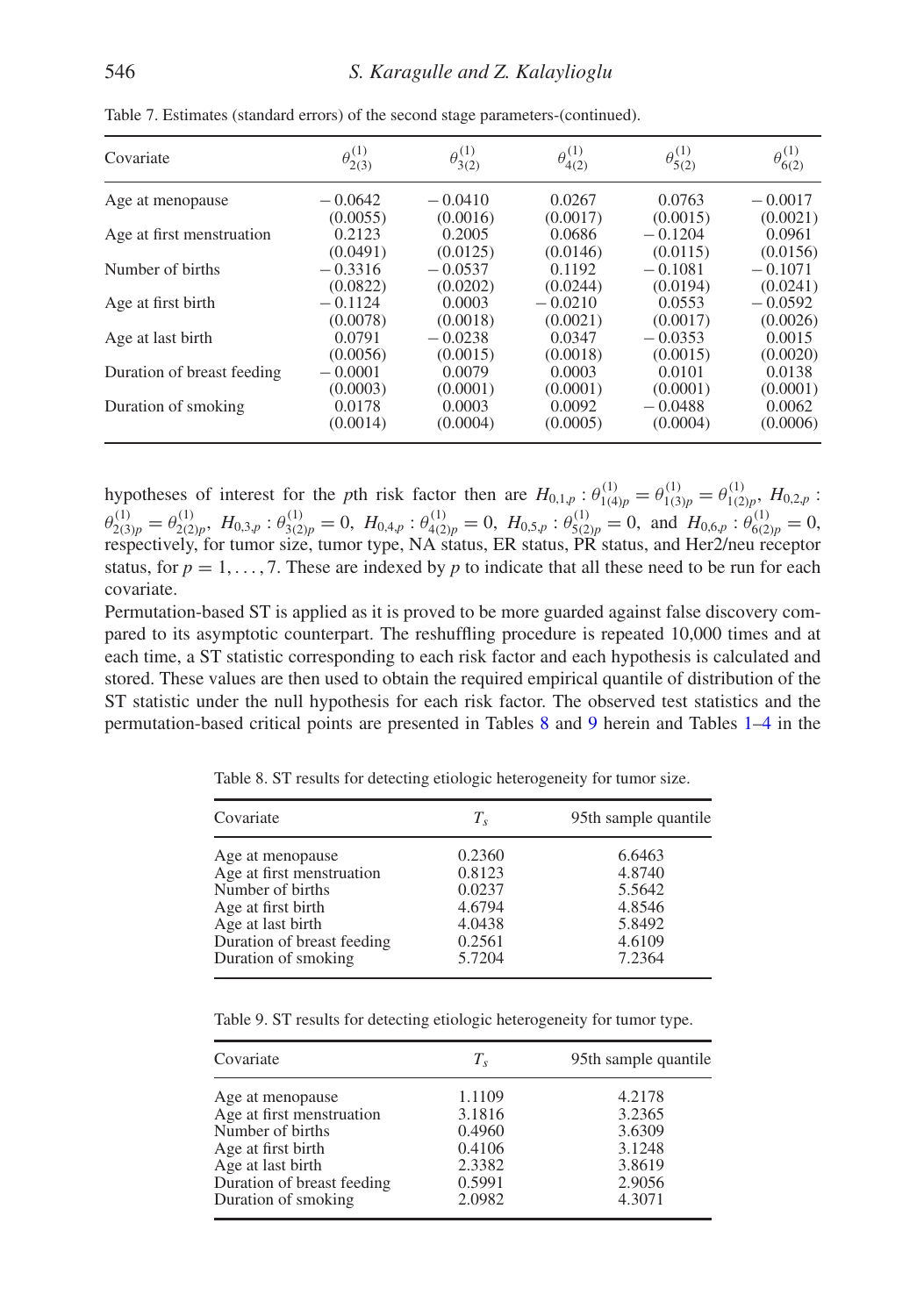<span id="page-9-0"></span>

| Covariate                  | $\theta_{2(3)}^{(1)}$ | $\theta_{3(2)}^{(1)}$ | $\theta^{(1)}_{4(2)}$ | $\theta_{5(2)}^{(1)}$ | $\theta_{6(2)}^{(1)}$ |
|----------------------------|-----------------------|-----------------------|-----------------------|-----------------------|-----------------------|
| Age at menopause           | $-0.0642$             | $-0.0410$             | 0.0267                | 0.0763                | $-0.0017$             |
|                            | (0.0055)              | (0.0016)              | (0.0017)              | (0.0015)              | (0.0021)              |
| Age at first menstruation  | 0.2123                | 0.2005                | 0.0686                | $-0.1204$             | 0.0961                |
|                            | (0.0491)              | (0.0125)              | (0.0146)              | (0.0115)              | (0.0156)              |
| Number of births           | $-0.3316$             | $-0.0537$             | 0.1192                | $-0.1081$             | $-0.1071$             |
|                            | (0.0822)              | (0.0202)              | (0.0244)              | (0.0194)              | (0.0241)              |
| Age at first birth         | $-0.1124$             | 0.0003                | $-0.0210$             | 0.0553                | $-0.0592$             |
|                            | (0.0078)              | (0.0018)              | (0.0021)              | (0.0017)              | (0.0026)              |
| Age at last birth          | 0.0791                | $-0.0238$             | 0.0347                | $-0.0353$             | 0.0015                |
|                            | (0.0056)              | (0.0015)              | (0.0018)              | (0.0015)              | (0.0020)              |
| Duration of breast feeding | $-0.0001$             | 0.0079                | 0.0003                | 0.0101                | 0.0138                |
|                            | (0.0003)              | (0.0001)              | (0.0001)              | (0.0001)              | (0.0001)              |
| Duration of smoking        | 0.0178                | 0.0003                | 0.0092                | $-0.0488$             | 0.0062                |
|                            | (0.0014)              | (0.0004)              | (0.0005)              | (0.0004)              | (0.0006)              |

Table 7. Estimates (standard errors) of the second stage parameters-(continued).

hypotheses of interest for the *p*th risk factor then are  $H_{0,1,p}$ :  $\theta_{1(4)p}^{(1)} = \theta_{1(3)p}^{(1)} = \theta_{1(2)p}^{(1)}$ ,  $H_{0,2,p}$ :  $\theta_{2(3)p}^{(1)} = \theta_{2(2)p}^{(1)}$ ,  $H_{0,3,p}$ :  $\theta_{3(2)p}^{(1)} = 0$ ,  $H_{0,4,p}$ :  $\theta_{4(2)p}^{(1)} = 0$ ,  $H_{0,5,p}$ :  $\theta_{5(2)p}^{(1)} = 0$ , and  $H_{0,6,p}$ :  $\theta_{6(2)p}^{(1)} = 0$ , respectively, for tumor size, tumor type, NA status, ER status, PR status, and Her2/neu receptor status, for  $p = 1, \ldots, 7$ . These are indexed by p to indicate that all these need to be run for each covariate.

Permutation-based ST is applied as it is proved to be more guarded against false discovery compared to its asymptotic counterpart. The reshuffling procedure is repeated 10,000 times and at each time, a ST statistic corresponding to each risk factor and each hypothesis is calculated and stored. These values are then used to obtain the required empirical quantile of distribution of the ST statistic under the null hypothesis for each risk factor. The observed test statistics and the permutation-based critical points are presented in Tables [8](#page-9-1) and [9](#page-9-2) herein and Tables [1](#page-3-0)[–4](#page-7-0) in the

<span id="page-9-1"></span>

| Covariate                  | $T_{s}$ | 95th sample quantile |
|----------------------------|---------|----------------------|
| Age at menopause           | 0.2360  | 6.6463               |
| Age at first menstruation  | 0.8123  | 4.8740               |
| Number of births           | 0.0237  | 5.5642               |
| Age at first birth         | 4.6794  | 4.8546               |
| Age at last birth          | 4.0438  | 5.8492               |
| Duration of breast feeding | 0.2561  | 4.6109               |
| Duration of smoking        | 5.7204  | 7.2364               |
|                            |         |                      |

Table 8. ST results for detecting etiologic heterogeneity for tumor size.

Table 9. ST results for detecting etiologic heterogeneity for tumor type.

<span id="page-9-2"></span>

| Covariate                  | $T_{s}$ | 95th sample quantile |
|----------------------------|---------|----------------------|
| Age at menopause           | 1.1109  | 4.2178               |
| Age at first menstruation  | 3.1816  | 3.2365               |
| Number of births           | 0.4960  | 3.6309               |
| Age at first birth         | 0.4106  | 3.1248               |
| Age at last birth          | 2.3382  | 3.8619               |
| Duration of breast feeding | 0.5991  | 2.9056               |
| Duration of smoking        | 2.0982  | 4.3071               |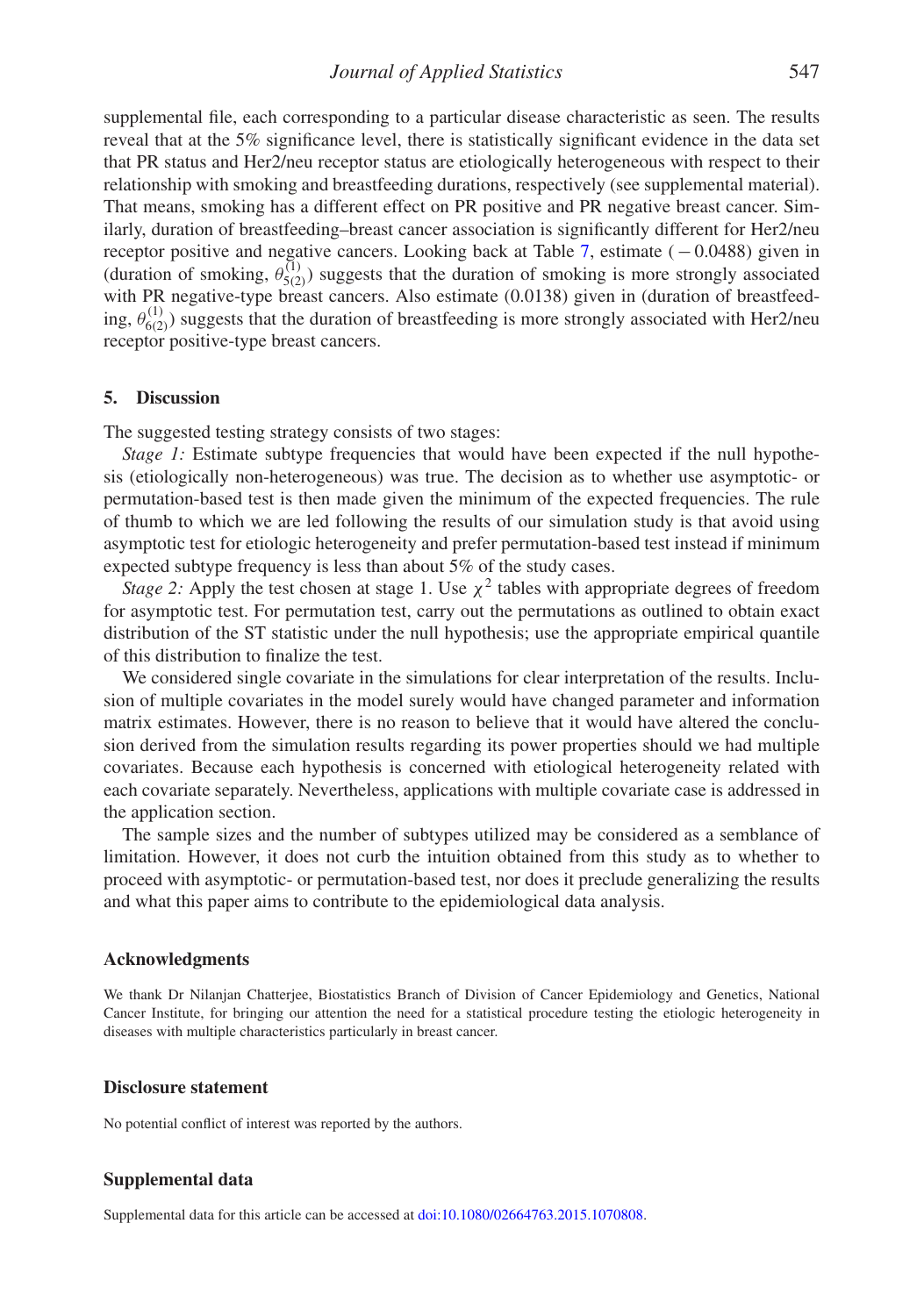supplemental file, each corresponding to a particular disease characteristic as seen. The results reveal that at the 5% significance level, there is statistically significant evidence in the data set that PR status and Her2/neu receptor status are etiologically heterogeneous with respect to their relationship with smoking and breastfeeding durations, respectively (see supplemental material). That means, smoking has a different effect on PR positive and PR negative breast cancer. Similarly, duration of breastfeeding–breast cancer association is significantly different for Her2/neu receptor positive and negative cancers. Looking back at Table [7,](#page-9-0) estimate (−0.0488) given in (duration of smoking,  $\theta_{5(2)}^{(1)}$ ) suggests that the duration of smoking is more strongly associated with PR negative-type breast cancers. Also estimate (0.0138) given in (duration of breastfeeding,  $\theta_{6(2)}^{(1)}$ ) suggests that the duration of breastfeeding is more strongly associated with Her2/neu receptor positive-type breast cancers.

#### **5. Discussion**

The suggested testing strategy consists of two stages:

*Stage 1:* Estimate subtype frequencies that would have been expected if the null hypothesis (etiologically non-heterogeneous) was true. The decision as to whether use asymptotic- or permutation-based test is then made given the minimum of the expected frequencies. The rule of thumb to which we are led following the results of our simulation study is that avoid using asymptotic test for etiologic heterogeneity and prefer permutation-based test instead if minimum expected subtype frequency is less than about 5% of the study cases.

*Stage 2:* Apply the test chosen at stage 1. Use  $\chi^2$  tables with appropriate degrees of freedom for asymptotic test. For permutation test, carry out the permutations as outlined to obtain exact distribution of the ST statistic under the null hypothesis; use the appropriate empirical quantile of this distribution to finalize the test.

We considered single covariate in the simulations for clear interpretation of the results. Inclusion of multiple covariates in the model surely would have changed parameter and information matrix estimates. However, there is no reason to believe that it would have altered the conclusion derived from the simulation results regarding its power properties should we had multiple covariates. Because each hypothesis is concerned with etiological heterogeneity related with each covariate separately. Nevertheless, applications with multiple covariate case is addressed in the application section.

The sample sizes and the number of subtypes utilized may be considered as a semblance of limitation. However, it does not curb the intuition obtained from this study as to whether to proceed with asymptotic- or permutation-based test, nor does it preclude generalizing the results and what this paper aims to contribute to the epidemiological data analysis.

#### **Acknowledgments**

We thank Dr Nilanjan Chatterjee, Biostatistics Branch of Division of Cancer Epidemiology and Genetics, National Cancer Institute, for bringing our attention the need for a statistical procedure testing the etiologic heterogeneity in diseases with multiple characteristics particularly in breast cancer.

#### **Disclosure statement**

No potential conflict of interest was reported by the authors.

#### **Supplemental data**

Supplemental data for this article can be accessed at [doi:10.1080/02664763.2015.1070808.](http://dx.doi.org/10.1080/02664763.2015.1070808)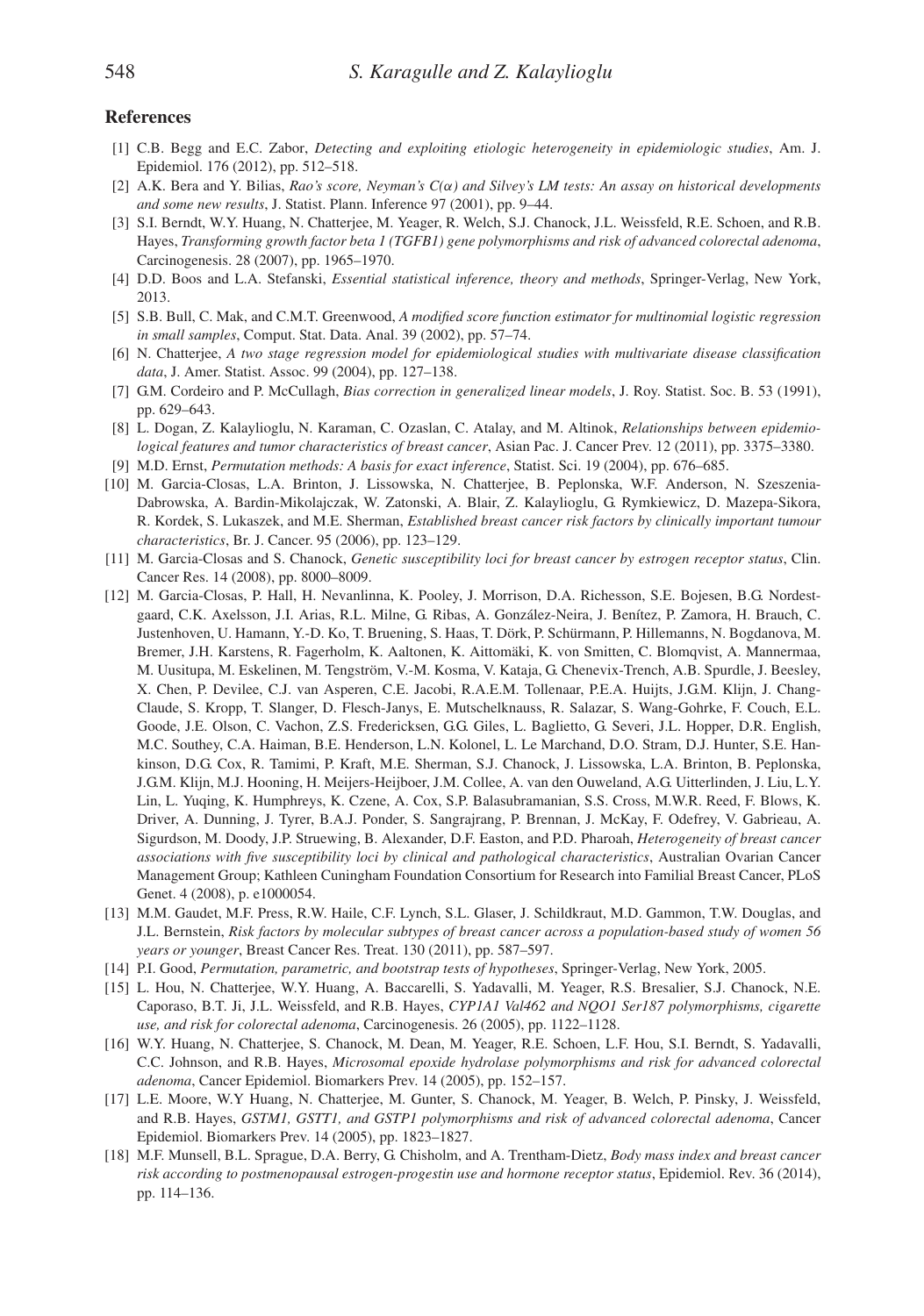#### **References**

- <span id="page-11-5"></span>[1] C.B. Begg and E.C. Zabor, *Detecting and exploiting etiologic heterogeneity in epidemiologic studies*, Am. J. Epidemiol. 176 (2012), pp. 512–518.
- <span id="page-11-11"></span>[2] A.K. Bera and Y. Bilias, *Rao's score, Neyman's C(*α*) and Silvey's LM tests: An assay on historical developments and some new results*, J. Statist. Plann. Inference 97 (2001), pp. 9–44.
- <span id="page-11-7"></span>[3] S.I. Berndt, W.Y. Huang, N. Chatterjee, M. Yeager, R. Welch, S.J. Chanock, J.L. Weissfeld, R.E. Schoen, and R.B. Hayes, *Transforming growth factor beta 1 (TGFB1) gene polymorphisms and risk of advanced colorectal adenoma*, Carcinogenesis. 28 (2007), pp. 1965–1970.
- <span id="page-11-12"></span>[4] D.D. Boos and L.A. Stefanski, *Essential statistical inference, theory and methods*, Springer-Verlag, New York, 2013.
- <span id="page-11-3"></span>[5] S.B. Bull, C. Mak, and C.M.T. Greenwood, *A modified score function estimator for multinomial logistic regression in small samples*, Comput. Stat. Data. Anal. 39 (2002), pp. 57–74.
- <span id="page-11-6"></span>[6] N. Chatterjee, *A two stage regression model for epidemiological studies with multivariate disease classification data*, J. Amer. Statist. Assoc. 99 (2004), pp. 127–138.
- <span id="page-11-4"></span>[7] G.M. Cordeiro and P. McCullagh, *Bias correction in generalized linear models*, J. Roy. Statist. Soc. B. 53 (1991), pp. 629–643.
- <span id="page-11-15"></span>[8] L. Dogan, Z. Kalaylioglu, N. Karaman, C. Ozaslan, C. Atalay, and M. Altinok, *Relationships between epidemiological features and tumor characteristics of breast cancer*, Asian Pac. J. Cancer Prev. 12 (2011), pp. 3375–3380.
- <span id="page-11-13"></span>[9] M.D. Ernst, *Permutation methods: A basis for exact inference*, Statist. Sci. 19 (2004), pp. 676–685.
- <span id="page-11-10"></span>[10] M. Garcia-Closas, L.A. Brinton, J. Lissowska, N. Chatterjee, B. Peplonska, W.F. Anderson, N. Szeszenia-Dabrowska, A. Bardin-Mikolajczak, W. Zatonski, A. Blair, Z. Kalaylioglu, G. Rymkiewicz, D. Mazepa-Sikora, R. Kordek, S. Lukaszek, and M.E. Sherman, *Established breast cancer risk factors by clinically important tumour characteristics*, Br. J. Cancer. 95 (2006), pp. 123–129.
- <span id="page-11-0"></span>[11] M. Garcia-Closas and S. Chanock, *Genetic susceptibility loci for breast cancer by estrogen receptor status*, Clin. Cancer Res. 14 (2008), pp. 8000–8009.
- [12] M. Garcia-Closas, P. Hall, H. Nevanlinna, K. Pooley, J. Morrison, D.A. Richesson, S.E. Bojesen, B.G. Nordestgaard, C.K. Axelsson, J.I. Arias, R.L. Milne, G. Ribas, A. González-Neira, J. Benítez, P. Zamora, H. Brauch, C. Justenhoven, U. Hamann, Y.-D. Ko, T. Bruening, S. Haas, T. Dörk, P. Schürmann, P. Hillemanns, N. Bogdanova, M. Bremer, J.H. Karstens, R. Fagerholm, K. Aaltonen, K. Aittomäki, K. von Smitten, C. Blomqvist, A. Mannermaa, M. Uusitupa, M. Eskelinen, M. Tengström, V.-M. Kosma, V. Kataja, G. Chenevix-Trench, A.B. Spurdle, J. Beesley, X. Chen, P. Devilee, C.J. van Asperen, C.E. Jacobi, R.A.E.M. Tollenaar, P.E.A. Huijts, J.G.M. Klijn, J. Chang-Claude, S. Kropp, T. Slanger, D. Flesch-Janys, E. Mutschelknauss, R. Salazar, S. Wang-Gohrke, F. Couch, E.L. Goode, J.E. Olson, C. Vachon, Z.S. Fredericksen, G.G. Giles, L. Baglietto, G. Severi, J.L. Hopper, D.R. English, M.C. Southey, C.A. Haiman, B.E. Henderson, L.N. Kolonel, L. Le Marchand, D.O. Stram, D.J. Hunter, S.E. Hankinson, D.G. Cox, R. Tamimi, P. Kraft, M.E. Sherman, S.J. Chanock, J. Lissowska, L.A. Brinton, B. Peplonska, J.G.M. Klijn, M.J. Hooning, H. Meijers-Heijboer, J.M. Collee, A. van den Ouweland, A.G. Uitterlinden, J. Liu, L.Y. Lin, L. Yuqing, K. Humphreys, K. Czene, A. Cox, S.P. Balasubramanian, S.S. Cross, M.W.R. Reed, F. Blows, K. Driver, A. Dunning, J. Tyrer, B.A.J. Ponder, S. Sangrajrang, P. Brennan, J. McKay, F. Odefrey, V. Gabrieau, A. Sigurdson, M. Doody, J.P. Struewing, B. Alexander, D.F. Easton, and P.D. Pharoah, *Heterogeneity of breast cancer associations with five susceptibility loci by clinical and pathological characteristics*, Australian Ovarian Cancer Management Group; Kathleen Cuningham Foundation Consortium for Research into Familial Breast Cancer, PLoS Genet. 4 (2008), p. e1000054.
- <span id="page-11-1"></span>[13] M.M. Gaudet, M.F. Press, R.W. Haile, C.F. Lynch, S.L. Glaser, J. Schildkraut, M.D. Gammon, T.W. Douglas, and J.L. Bernstein, *Risk factors by molecular subtypes of breast cancer across a population-based study of women 56 years or younger*, Breast Cancer Res. Treat. 130 (2011), pp. 587–597.
- <span id="page-11-14"></span>[14] P.I. Good, *Permutation, parametric, and bootstrap tests of hypotheses*, Springer-Verlag, New York, 2005.
- <span id="page-11-8"></span>[15] L. Hou, N. Chatterjee, W.Y. Huang, A. Baccarelli, S. Yadavalli, M. Yeager, R.S. Bresalier, S.J. Chanock, N.E. Caporaso, B.T. Ji, J.L. Weissfeld, and R.B. Hayes, *CYP1A1 Val462 and NQO1 Ser187 polymorphisms, cigarette use, and risk for colorectal adenoma*, Carcinogenesis. 26 (2005), pp. 1122–1128.
- [16] W.Y. Huang, N. Chatterjee, S. Chanock, M. Dean, M. Yeager, R.E. Schoen, L.F. Hou, S.I. Berndt, S. Yadavalli, C.C. Johnson, and R.B. Hayes, *Microsomal epoxide hydrolase polymorphisms and risk for advanced colorectal adenoma*, Cancer Epidemiol. Biomarkers Prev. 14 (2005), pp. 152–157.
- <span id="page-11-9"></span>[17] L.E. Moore, W.Y Huang, N. Chatterjee, M. Gunter, S. Chanock, M. Yeager, B. Welch, P. Pinsky, J. Weissfeld, and R.B. Hayes, *GSTM1, GSTT1, and GSTP1 polymorphisms and risk of advanced colorectal adenoma*, Cancer Epidemiol. Biomarkers Prev. 14 (2005), pp. 1823–1827.
- <span id="page-11-2"></span>[18] M.F. Munsell, B.L. Sprague, D.A. Berry, G. Chisholm, and A. Trentham-Dietz, *Body mass index and breast cancer risk according to postmenopausal estrogen-progestin use and hormone receptor status*, Epidemiol. Rev. 36 (2014), pp. 114–136.